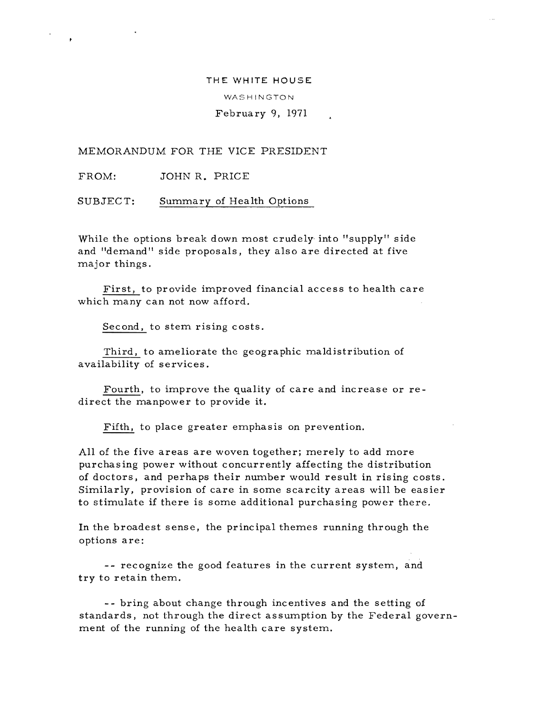### THE WHITE HOUSE

WASHINGTON

# February 9, 1971

MEMORANDUM FOR THE VICE PRESIDENT

FROM: JOHN R. PRICE

SUBJECT: Summary of Health Options

While the options break down most crudely into "supply" side and "demand" side proposals, they also are directed at five major things.

First, to provide improved financial access to health care which many can not now afford.

Second, to stem rising costs.

Third, to ameliorate the geographic maldistribution of availability of services.

Fourth, to improve the quality of care and increase or redirect the manpower to provide it.

Fifth, to place greater emphasis on prevention.

All of the five areas are woven together; merely to add more purchasing power without concurrently affecting the distribution of doctors, and perhaps their number would result in rising costs. Similarly, provision of care in some scarcity areas will be easier to stimulate if there is some additional purchasing power there.

In the broadest sense, the principal themes running through the options are:

- - recognize the good features in the current system, and try to retain them.

- - bring about change through incentives and the setting of standards, not through the direct assumption by the Federal government of the running of the health care system.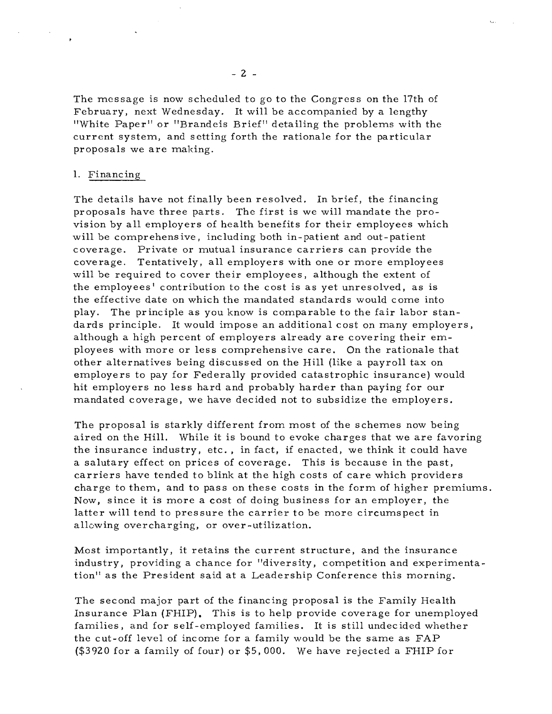The message is now scheduled to go to the Congress on the 17th of February, next Wednesday. It will be accompanied by a lengthy "White Paper" or "Brandeis Brief" detailing the problems with the current system, and setting forth the rationale for the particular proposals we are making.

## 1. Financing

The details have not finally been resolved. In brief, the financing proposals have three parts. The first is we will mandate the provision by all employers of health benefits for their employees which will be comprehensive, including both in-patient and out-patient coverage. Private or mutual insurance carriers can provide the coverage. Tentatively, all employers with one or more employees will be required to cover their employees, although the extent of the employees' contribution to the cost is as yet unresolved, as is the effective date on which the mandated standards would corne into play. The pr inciple as you know is comparable to the fair labor standards principle. It would impose an additional cost on many employers, although a high percent of employers already are covering their employees with more or less comprehensive care. On the rationale that other alternatives being discussed on the Hill (like a payroll tax on employers to pay for Federally provided catastrophic insurance) would hit employers no less hard and probably harder than paying for our mandated coverage, we have decided not to subsidize the employers.

The proposal is starkly different from most of the schemes now being aired on the Hill. While it is bound to evoke charges that we are favoring the insurance industry, etc., in fact, if enacted, we think it could have a salutary effect on prices of coverage. This is because in the past, carriers have tended to blink at the high costs of care which providers charge to them, and to pass on these costs in the form of higher premiums. Now, since it is more a cost of doing business for an employer, the latter will tend to pres sure the carrier to be more circums pect in allowing overcharging, or over-utilization.

Most importantly, it retains the current structure, and the insurance industry, providing a chance for "diversity, competition and experimentation!! as the President said at a Leadership Conference this morning.

The second major part of the financing proposal is the Family Health Insurance Plan (FHIP). This is to help provide coverage for unemployed families, and for self-employed families. It is still undec ided whether the cut-off level of income for a family would be the same as FAP (\$3920 for a family of four) or \$5,000. We have rejected a FHIP for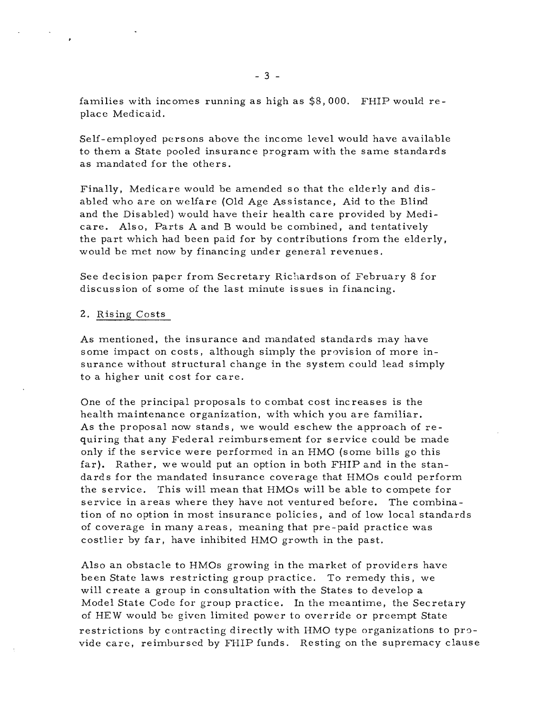families with incomes running as high as  $$8,000$ . FHIP would replace Medicaid.

Self-employed persons above the income level would have available to them a State pooled insurance program with the same standards as mandated for the others.

Finally, Medicare would be amended so that the elderly and disabled who are on welfare (Old Age Assistance, Aid to the Blind and the Disabled) would have their health care provided by Medicare. Also, Parts A and B would be combined, and tentatively the part which had been paid for by contributions from the elderly, would be met now by financing under general revenues.

See decision paper from Secretary Richardson of February 8 for discussion of some of the last minute issues in financing.

## 2. Rising Costs

As mentioned, the insurance and mandated standards may have some impact on costs, although simply the provision of more insurance without structural change in the system could lead simply to a higher unit cost for care.

One of the principal proposals to combat cost increases is the health maintenance organization, with which you are familiar. As the proposal now stands, we would eschew the approach of requiring that any Federal reimbursement for service could be made only if the service were performed in an HMO (some bills go this far). Rather, we would put an option in both FHIP and in the standards for the mandated insurance coverage that HMOs could perform the service. This will mean that HMOs will be able to compete for service in areas where they have not ventured before. The combination of no option in most insurance policies, and of low local standards of coverage in many areas, meaning that pre-paid practice was costlier by far, have inhibited HMO growth in the past.

Also an obstacle to HMOs growing in the market of providers have been State laws restricting group practice. To remedy this, we will create a group in consultation with the States to develop a Model State Code for group practice. In the meantime, the Secretary of HEW would be given limited power to override or preempt State restrictions by contracting directly with HMO type organizations to provide care, reimbursed by FHIP funds. Resting on the supremacy clause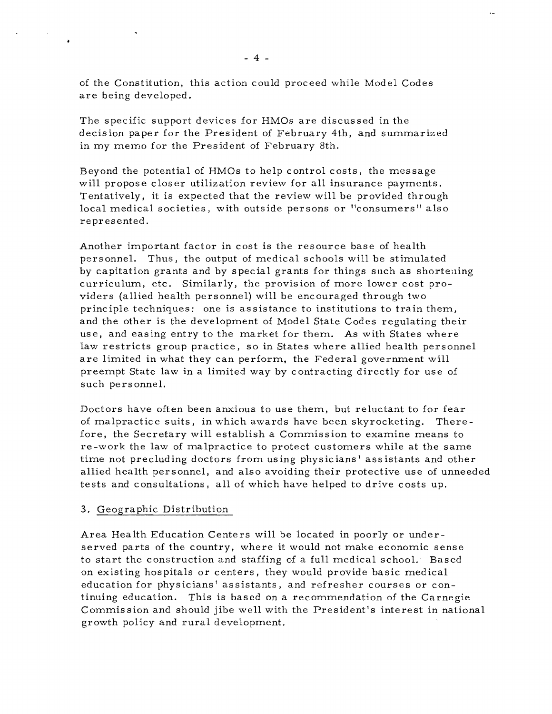of the Constitution, this action could proceed while Model Codes are being developed.

The specific support devices for HMOs are discussed in the decision paper for the President of February 4th, and summarized in my memo for the President of February 8th.

Beyond the potential of HMOs to help control costs, the message will propose closer utilization review for all insurance payments. Tentatively, it is expected that the review will be provided through local medical societies, with outside persons or "consumers" also represented.

Another important factor in cost is the resource base of health personnel. Thus, the output of medical schools will be stimulated by capitation grants and by special grants for things such as shortening curriculum, etc. Similarly, the provision of more lower cost providers (allied health personnel) will be encouraged through two principle techniques: one is assistance to institutions to train them, and the other is the development of Model State Codes regulating their use, and easing entry to the market for them. As with States where law restricts group practice, so in States where allied health personnel are limited in what they can perform, the Federal government will preempt State law in a limited way by contracting directly for use of such personnel.

Doctors have often been anxious to use them, but reluctant to for fear of malpractice suits, in which awards have been skyrocketing. Therefore, the Secretary will establish a Commission to examine means to re-work the law of malpractice to protect customers while at the same time not precluding doctors from using physicians' assistants and other allied health personnel, and also avoiding their protective use of unneeded tests and consultations, all of which have helped to drive costs up.

# 3. Geographic Distribution

Area Health Education Centers will be located in poorly or underserved parts of the country, where it would not make economic sense to start the construction and staffing of a full medical school. Based on existing hospitals or centers, they would provide basic medical education for physicians' assistants, and refresher courses or continuing education. This is based on a recommendation of the Carnegie Commis sion and should jibe well with the Pres ident 's interest in national growth policy and rural development.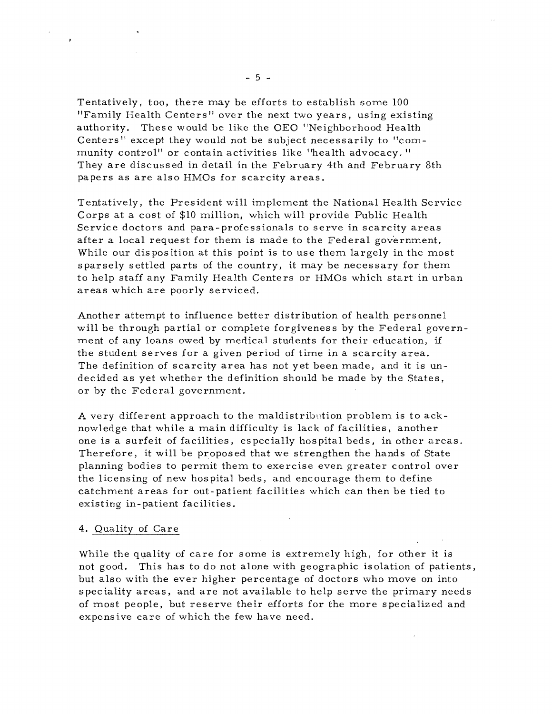Tentatively, too, there may be efforts to establish some 100 "Family Health Centers" over the next two years, using existing authority. These would be like the OEO "Neighborhood Health Centers" except they would not be subject necessarily to "community control<sup>11</sup> or contain activities like "health advocacy." They are discussed in detail in the February 4th and February 8th papers as are also HMOs for scarcity areas.

Tentatively, the President will implement the National Health Service Corps at a cost of \$10 million, which will provide Public Health Service doctors and para-professionals to serve in scarcity areas after a local request for them is made to the Federal government. While our disposition at this point is to use them largely in the most sparsely settled parts of the country, it may be necessary for them to help staff any Family Health Centers or HMOs which start in urban areas which are poorly serviced.

Another attempt to influence better distribution of health personnel will be through partial or complete forgivenes s by the Federal government of any loans owed by medical students for their education, if the student serves for a given period of time in a scarcity area. The definition of scarcity area has not yet been made, and it is undecided as yet whether the definition should be made by the States, or by the Federal government.

A very different approach to the maldistribution problem is to acknowledge that while a main difficulty is lack of facilities, another one is a surfeit of facilities, especially hospital beds, in other areas. Therefore, it will be propos ed that we strengthen the hands of State planning bodies to permit them to exercise even greater control over the licensing of new hospital beds, and encourage them to define catchment areas for out-patient facilities which can then be tied to existing in- patient facilities.

### 4. Quality of Care

While the quality of care for some is extremely high, for other it is not good. This has to do not alone with geographic isolation of patients, but also with the ever higher percentage of doctors who move on into spec iality areas, and are not available to help serve the primary needs of most people, but reserve their efforts for the more specialized and expensive care of which the few have need.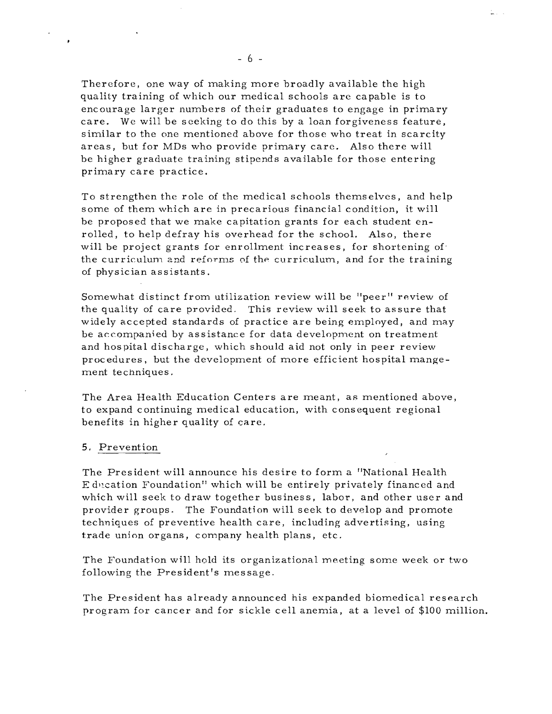Therefore, one way of making more broadly available the high quality training of which our medical schools are capable is to encourage larger numbers of their graduates to engage in primary care. We will be seeking to do this by a loan forgiveness feature, similar to the one mentioned above for those who treat in scarcity areas, but for MDs who provide primary care. Also there will be higher graduate training stipends available for those entering primary care practice.

To strengthen the role of the medical schools themselves, and help some of them which are in precarious financial condition, it will be proposed that we make capitation grants for each student enrolled, to help defray his overhead for the school. Also, there will be project grants for enrollment increases, for shortening of the curriculum and reforms of the curriculum, and for the training of physician assistants.

Somewhat distinct from utilization review will be "peer" review of the quality of care provided. This review will seek to assure that widely accepted standards of practice are being employed, and may be ac.companied by assistance for data development on treatment and hos pital discharge, which should aid not only in peer review procedures, but the development of more efficient hospital mangement techniques.

The Area Health Education Centers are meant, as mentioned above, to expand continuing medical education, with consequent regional benefits in higher quality of care.

#### 5. Prevention

The President will announce his desire to form a "National Health E ducation Foundation" which will be entirely privately financed and which will seek to draw together business, labor, and other user and provider groups. The Foundation will seek to develop and promote techniques of preventive health care, including advertising, using trade union organs, company health plans, etc.

The Foundation will hold its organizational meeting some week or two following the President's message.

The President has already announced his expanded biomedical research program for cancer and for sickle cell anemia, at a level of \$100 million.